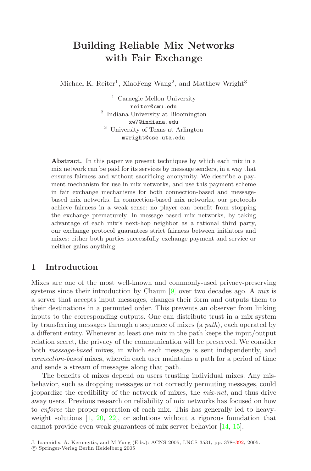# **Building Reliable Mix Networks with Fair Exchange**

Michael K. Reiter<sup>1</sup>, XiaoFeng Wang<sup>2</sup>, and Matthew Wright<sup>3</sup>

<sup>1</sup> Carnegie Mellon University reiter@cmu.edu <sup>2</sup> Indiana University at Bloomington xw7@indiana.edu <sup>3</sup> University of Texas at Arlington mwright@cse.uta.edu

**Abstract.** In this paper we present techniques by which each mix in a mix network can be paid for its services by message senders, in a way that ensures fairness and without sacrificing anonymity. We describe a payment mechanism for use in mix networks, and use this payment scheme in fair exchange mechanisms for both connection-based and messagebased mix networks. In connection-based mix networks, our protocols achieve fairness in a weak sense: no player can benefit from stopping the exchange prematurely. In message-based mix networks, by taking advantage of each mix's next-hop neighbor as a rational third party, our exchange protocol guarantees strict fairness between initiators and mixes: either both parties successfully exchange payment and service or neither gains anything.

### **1 Introduction**

Mixes are one of the most well-known and commonly-used privacy-preserving systems since their introduction by Chaum [\[9\]](#page-13-0) over two decades ago. A *mix* is a server that accepts input messages, changes their form and outputs them to their destinations in a permuted order. This prevents an observer from linking inputs to the corresponding outputs. One can distribute trust in a mix system by transferring messages through a sequence of mixes (a *path*), each operated by a different entity. Whenever at least one mix in the path keeps the input/output relation secret, the privacy of the communication will be preserved. We consider both *message-based* mixes, in which each message is sent independently, and *connection-based* mixes, wherein each user maintains a path for a period of time and sends a stream of messages along that path.

The benefits of mixes depend on users trusting individual mixes. Any misbehavior, such as dropping messages or not correctly permuting messages, could jeopardize the credibility of the network of mixes, the *mix-net*, and thus drive away users. Previous research on reliability of mix networks has focused on how to *enforce* the proper operation of each mix. This has generally led to heavyweight solutions [\[1](#page-13-1), [20,](#page-14-0) [22\]](#page-14-1), or solutions without a rigorous foundation that cannot provide even weak guarantees of mix server behavior [\[14,](#page-14-2) [15\]](#page-14-3).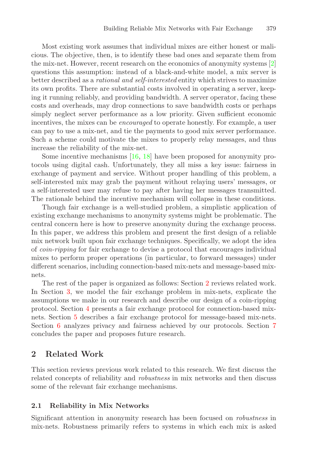Most existing work assumes that individual mixes are either honest or malicious. The objective, then, is to identify these bad ones and separate them from the mix-net. However, recent research on the economics of anonymity systems [\[2](#page-13-2)] questions this assumption: instead of a black-and-white model, a mix server is better described as a *rational and self-interested* entity which strives to maximize its own profits. There are substantial costs involved in operating a server, keeping it running reliably, and providing bandwidth. A server operator, facing these costs and overheads, may drop connections to save bandwidth costs or perhaps simply neglect server performance as a low priority. Given sufficient economic incentives, the mixes can be *encouraged* to operate honestly. For example, a user can pay to use a mix-net, and tie the payments to good mix server performance. Such a scheme could motivate the mixes to properly relay messages, and thus increase the reliability of the mix-net.

Some incentive mechanisms [\[16,](#page-14-5) [18\]](#page-14-6) have been proposed for anonymity protocols using digital cash. Unfortunately, they all miss a key issue: fairness in exchange of payment and service. Without proper handling of this problem, a self-interested mix may grab the payment without relaying users' messages, or a self-interested user may refuse to pay after having her messages transmitted. The rationale behind the incentive mechanism will collapse in these conditions.

Though fair exchange is a well-studied problem, a simplistic application of existing exchange mechanisms to anonymity systems might be problematic. The central concern here is how to preserve anonymity during the exchange process. In this paper, we address this problem and present the first design of a reliable mix network built upon fair exchange techniques. Specifically, we adopt the idea of *coin-ripping* for fair exchange to devise a protocol that encourages individual mixes to perform proper operations (in particular, to forward messages) under different scenarios, including connection-based mix-nets and message-based mixnets.

The rest of the paper is organized as follows: Section [2](#page-1-0) reviews related work. In Section [3,](#page-4-0) we model the fair exchange problem in mix-nets, explicate the assumptions we make in our research and describe our design of a coin-ripping protocol. Section [4](#page-7-0) presents a fair exchange protocol for connection-based mixnets. Section [5](#page-9-0) describes a fair exchange protocol for message-based mix-nets. Section [6](#page-12-0) analyzes privacy and fairness achieved by our protocols. Section [7](#page-13-3) concludes the paper and proposes future research.

### <span id="page-1-0"></span>**2 Related Work**

This section reviews previous work related to this research. We first discuss the related concepts of reliability and *robustness* in mix networks and then discuss some of the relevant fair exchange mechanisms.

### **2.1 Reliability in Mix Networks**

Significant attention in anonymity research has been focused on *robustness* in mix-nets. Robustness primarily refers to systems in which each mix is asked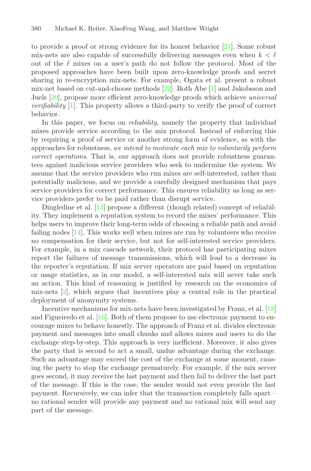to provide a proof or strong evidence for its honest behavior [\[21](#page-14-7)]. Some robust mix-nets are also capable of successfully delivering messages even when  $k < \ell$ out of the  $\ell$  mixes on a user's path do not follow the protocol. Most of the proposed approaches have been built upon zero-knowledge proofs and secret sharing in re-encryption mix-nets. For example, Ogata et al. present a robust mix-net based on cut-and-choose methods [\[22\]](#page-14-1). Both Abe [\[1](#page-13-1)] and Jakobsson and Juels [\[20\]](#page-14-0), propose more efficient zero-knowledge proofs which achieve *universal verifiability* [\[1\]](#page-13-1). This property allows a third-party to verify the proof of correct behavior.

In this paper, we focus on *reliability*, namely the property that individual mixes provide service according to the mix protocol. Instead of enforcing this by requiring a proof of service or another strong form of evidence, as with the approaches for robustness, *we intend to motivate each mix to voluntarily perform correct operations*. That is, our approach does not provide robustness guarantees against malicious service providers who seek to undermine the system. We assume that the service providers who run mixes are self-interested, rather than potentially malicious, and we provide a carefully designed mechanism that pays service providers for correct performance. This ensures reliability as long as service providers prefer to be paid rather than disrupt service.

Dingledine et al. [\[14\]](#page-14-2) propose a different (though related) concept of reliability. They implement a reputation system to record the mixes' performance. This helps users to improve their long-term odds of choosing a reliable path and avoid failing nodes [\[14](#page-14-2)]. This works well when mixes are run by volunteers who receive no compensation for their service, but not for self-interested service providers. For example, in a mix cascade network, their protocol has participating mixes report the failures of message transmissions, which will lead to a decrease in the reporter's reputation. If mix server operators are paid based on reputation or usage statistics, as in our model, a self-interested mix will never take such an action. This kind of reasoning is justified by research on the economics of mix-nets [\[2\]](#page-13-2), which argues that incentives play a central role in the practical deployment of anonymity systems.

Incentive mechanisms for mix-nets have been investigated by Franz, et al. [\[18](#page-14-6)] and Figueiredo et al. [\[16\]](#page-14-5). Both of them propose to use electronic payment to encourage mixes to behave honestly. The approach of Franz et al. divides electronic payment and messages into small chunks and allows mixes and users to do the exchange step-by-step. This approach is very inefficient. Moreover, it also gives the party that is second to act a small, undue advantage during the exchange. Such an advantage may exceed the cost of the exchange at some moment, causing the party to stop the exchange prematurely. For example, if the mix server goes second, it may receive the last payment and then fail to deliver the last part of the message. If this is the case, the sender would not even provide the last payment. Recursively, we can infer that the transaction completely falls apart – no rational sender will provide any payment and no rational mix will send any part of the message.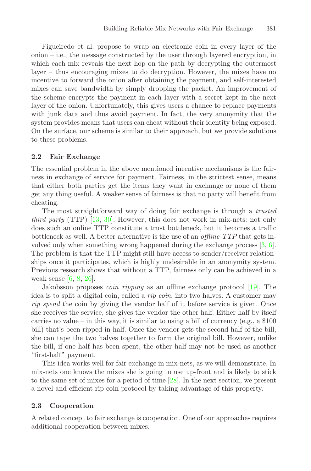Figueiredo et al. propose to wrap an electronic coin in every layer of the onion – i.e., the message constructed by the user through layered encryption, in which each mix reveals the next hop on the path by decrypting the outermost layer – thus encouraging mixes to do decryption. However, the mixes have no incentive to forward the onion after obtaining the payment, and self-interested mixes can save bandwidth by simply dropping the packet. An improvement of the scheme encrypts the payment in each layer with a secret kept in the next layer of the onion. Unfortunately, this gives users a chance to replace payments with junk data and thus avoid payment. In fact, the very anonymity that the system provides means that users can cheat without their identity being exposed. On the surface, our scheme is similar to their approach, but we provide solutions to these problems.

#### **2.2 Fair Exchange**

The essential problem in the above mentioned incentive mechanisms is the fairness in exchange of service for payment. Fairness, in the strictest sense, means that either both parties get the items they want in exchange or none of them get any thing useful. A weaker sense of fairness is that no party will benefit from cheating.

The most straightforward way of doing fair exchange is through a *trusted third party* (TTP) [\[13](#page-14-8), [30\]](#page-14-9). However, this does not work in mix-nets: not only does such an online TTP constitute a trust bottleneck, but it becomes a traffic bottleneck as well. A better alternative is the use of an *offline TTP* that gets involved only when something wrong happened during the exchange process [\[3,](#page-13-4) [6](#page-13-5)]. The problem is that the TTP might still have access to sender/receiver relationships once it participates, which is highly undesirable in an anonymity system. Previous research shows that without a TTP, fairness only can be achieved in a weak sense [\[6](#page-13-5), [8](#page-13-6), [26\]](#page-14-10).

Jakobsson proposes *coin ripping* as an offline exchange protocol [\[19\]](#page-14-11). The idea is to split a digital coin, called a *rip coin*, into two halves. A customer may *rip spend* the coin by giving the vendor half of it before service is given. Once she receives the service, she gives the vendor the other half. Either half by itself carries no value – in this way, it is similar to using a bill of currency (e.g., a  $$100$ ) bill) that's been ripped in half. Once the vendor gets the second half of the bill, she can tape the two halves together to form the original bill. However, unlike the bill, if one half has been spent, the other half may not be used as another "first-half" payment.

This idea works well for fair exchange in mix-nets, as we will demonstrate. In mix-nets one knows the mixes she is going to use up-front and is likely to stick to the same set of mixes for a period of time [\[28\]](#page-14-12). In the next section, we present a novel and efficient rip coin protocol by taking advantage of this property.

### **2.3 Cooperation**

A related concept to fair exchange is cooperation. One of our approaches requires additional cooperation between mixes.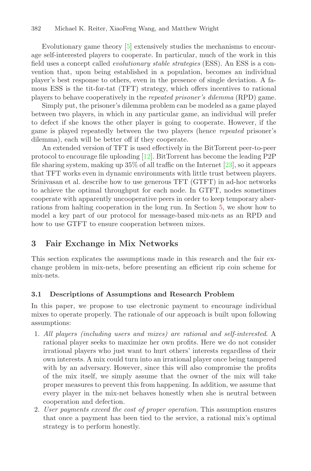Evolutionary game theory [\[5\]](#page-13-7) extensively studies the mechanisms to encourage self-interested players to cooperate. In particular, much of the work in this field uses a concept called *evolutionary stable strategies* (ESS). An ESS is a convention that, upon being established in a population, becomes an individual player's best response to others, even in the presence of single deviation. A famous ESS is the tit-for-tat (TFT) strategy, which offers incentives to rational players to behave cooperatively in the *repeated prisoner's dilemma* (RPD) game.

Simply put, the prisoner's dilemma problem can be modeled as a game played between two players, in which in any particular game, an individual will prefer to defect if she knows the other player is going to cooperate. However, if the game is played repeatedly between the two players (hence *repeated* prisoner's dilemma), each will be better off if they cooperate.

An extended version of TFT is used effectively in the BitTorrent peer-to-peer protocol to encourage file uploading [\[12\]](#page-13-8). BitTorrent has become the leading P2P file sharing system, making up 35% of all traffic on the Internet [\[23\]](#page-14-13), so it appears that TFT works even in dynamic environments with little trust between players. Srinivasan et al. describe how to use generous TFT (GTFT) in ad-hoc networks to achieve the optimal throughput for each node. In GTFT, nodes sometimes cooperate with apparently uncooperative peers in order to keep temporary aberrations from halting cooperation in the long run. In Section [5,](#page-9-0) we show how to model a key part of our protocol for message-based mix-nets as an RPD and how to use GTFT to ensure cooperation between mixes.

# <span id="page-4-0"></span>**3 Fair Exchange in Mix Networks**

This section explicates the assumptions made in this research and the fair exchange problem in mix-nets, before presenting an efficient rip coin scheme for mix-nets.

### <span id="page-4-1"></span>**3.1 Descriptions of Assumptions and Research Problem**

In this paper, we propose to use electronic payment to encourage individual mixes to operate properly. The rationale of our approach is built upon following assumptions:

- 1. *All players (including users and mixes) are rational and self-interested*. A rational player seeks to maximize her own profits. Here we do not consider irrational players who just want to hurt others' interests regardless of their own interests. A mix could turn into an irrational player once being tampered with by an adversary. However, since this will also compromise the profits of the mix itself, we simply assume that the owner of the mix will take proper measures to prevent this from happening. In addition, we assume that every player in the mix-net behaves honestly when she is neutral between cooperation and defection.
- 2. *User payments exceed the cost of proper operation*. This assumption ensures that once a payment has been tied to the service, a rational mix's optimal strategy is to perform honestly.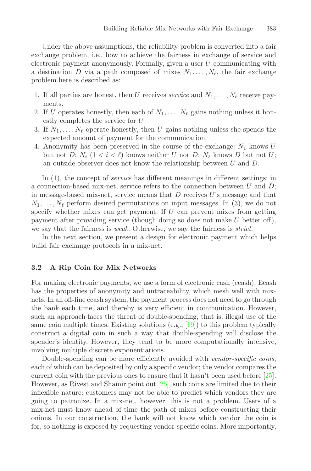Under the above assumptions, the reliability problem is converted into a fair exchange problem, i.e., how to achieve the fairness in exchange of service and electronic payment anonymously. Formally, given a user  $U$  communicating with a destination D via a path composed of mixes  $N_1, \ldots, N_\ell$ , the fair exchange problem here is described as:

- 1. If all parties are honest, then U receives *service* and  $N_1, \ldots, N_\ell$  receive payments.
- 2. If U operates honestly, then each of  $N_1, \ldots, N_\ell$  gains nothing unless it honestly completes the service for U.
- 3. If  $N_1, \ldots, N_\ell$  operate honestly, then U gains nothing unless she spends the expected amount of payment for the communication.
- 4. Anonymity has been preserved in the course of the exchange:  $N_1$  knows U but not D;  $N_i$   $(1 < i < \ell)$  knows neither U nor D;  $N_\ell$  knows D but not U; an outside observer does not know the relationship between  $U$  and  $D$ .

In (1), the concept of *service* has different meanings in different settings: in a connection-based mix-net, service refers to the connection between  $U$  and  $D$ ; in message-based mix-net, service means that  $D$  receives  $U$ 's message and that  $N_1,\ldots,N_\ell$  perform desired permutations on input messages. In (3), we do not specify whether mixes can get payment. If  $U$  can prevent mixes from getting payment after providing service (though doing so does not make U better off), we say that the fairness is *weak*. Otherwise, we say the fairness is *strict*.

In the next section, we present a design for electronic payment which helps build fair exchange protocols in a mix-net.

#### **3.2 A Rip Coin for Mix Networks**

For making electronic payments, we use a form of electronic cash (ecash). Ecash has the properties of anonymity and untraceability, which mesh well with mixnets. In an off-line ecash system, the payment process does not need to go through the bank each time, and thereby is very efficient in communication. However, such an approach faces the threat of double-spending, that is, illegal use of the same coin multiple times. Existing solutions (e.g.,  $[19]$  $[19]$ ) to this problem typically construct a digital coin in such a way that double-spending will disclose the spender's identity. However, they tend to be more computationally intensive, involving multiple discrete exponentiations.

Double-spending can be more efficiently avoided with *vendor-specific coins*, each of which can be deposited by only a specific vendor; the vendor compares the current coin with the previous ones to ensure that it hasn't been used before [\[25\]](#page-14-14). However, as Rivest and Shamir point out [\[25\]](#page-14-14), such coins are limited due to their inflexible nature: customers may not be able to predict which vendors they are going to patronize. In a mix-net, however, this is not a problem. Users of a mix-net must know ahead of time the path of mixes before constructing their onions. In our construction, the bank will not know which vendor the coin is for, so nothing is exposed by requesting vendor-specific coins. More importantly,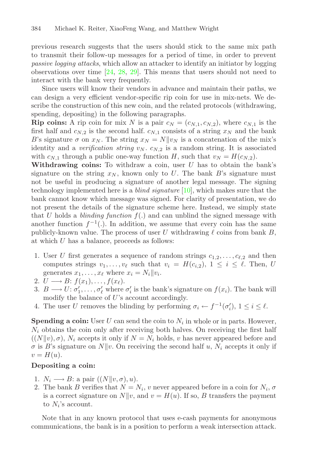previous research suggests that the users should stick to the same mix path to transmit their follow-up messages for a period of time, in order to prevent *passive logging attacks*, which allow an attacker to identify an initiator by logging observations over time [\[24](#page-14-15), [28,](#page-14-12) [29\]](#page-14-16). This means that users should not need to interact with the bank very frequently.

Since users will know their vendors in advance and maintain their paths, we can design a very efficient vendor-specific rip coin for use in mix-nets. We describe the construction of this new coin, and the related protocols (withdrawing, spending, depositing) in the following paragraphs.

**Rip coins:** A rip coin for mix N is a pair  $c_N = (c_{N,1}, c_{N,2})$ , where  $c_{N,1}$  is the first half and  $c_{N,2}$  is the second half.  $c_{N,1}$  consists of a string  $x_N$  and the bank B's signature  $\sigma$  on  $x_N$ . The string  $x_N = N||v_N$  is a concatenation of the mix's identity and a *verification string*  $v_N$ .  $c_{N,2}$  is a random string. It is associated with  $c_{N,1}$  through a public one-way function H, such that  $v_N = H(c_{N,2})$ .

**Withdrawing coins:** To withdraw a coin, user U has to obtain the bank's signature on the string  $x_N$ , known only to U. The bank B's signature must not be useful in producing a signature of another legal message. The signing technology implemented here is a *blind signature* [\[10\]](#page-13-9), which makes sure that the bank cannot know which message was signed. For clarity of presentation, we do not present the details of the signature scheme here. Instead, we simply state that U holds a *blinding function*  $f(.)$  and can unblind the signed message with another function  $f^{-1}(.)$ . In addition, we assume that every coin has the same publicly-known value. The process of user U withdrawing  $\ell$  coins from bank B, at which  $U$  has a balance, proceeds as follows:

- 1. User U first generates a sequence of random strings  $c_{1,2},\ldots,c_{\ell,2}$  and then computes strings  $v_1,\ldots,v_\ell$  such that  $v_i = H(c_{i,2}), 1 \leq i \leq \ell$ . Then, U generates  $x_1, \ldots, x_\ell$  where  $x_i = N_i || v_i$ .
- 2.  $U \longrightarrow B: f(x_1), \ldots, f(x_\ell)$ .
- 3.  $B \longrightarrow U: \sigma'_1, \ldots, \sigma'_\ell$  where  $\sigma'_i$  is the bank's signature on  $f(x_i)$ . The bank will modify the balance of  $U$ 's account accordingly modify the balance of  $U$ 's account accordingly.
- 4. The user U removes the blinding by performing  $\sigma_i \leftarrow f^{-1}(\sigma'_i), 1 \leq i \leq \ell$ .

**Spending a coin:** User U can send the coin to  $N_i$  in whole or in parts. However,  $N_i$  obtains the coin only after receiving both halves. On receiving the first half  $((N||v), \sigma)$ ,  $N_i$  accepts it only if  $N = N_i$  holds, v has never appeared before and  $\sigma$  is B's signature on  $N||v$ . On receiving the second half u,  $N_i$  accepts it only if  $v = H(u).$ 

#### **Depositing a coin:**

- 1.  $N_i \longrightarrow B$ : a pair  $((N||v, \sigma), u)$ .
- 2. The bank B verifies that  $N = N_i$ , v never appeared before in a coin for  $N_i$ ,  $\sigma$ is a correct signature on  $N||v$ , and  $v = H(u)$ . If so, B transfers the payment to  $N_i$ 's account.

Note that in any known protocol that uses e-cash payments for anonymous communications, the bank is in a position to perform a weak intersection attack.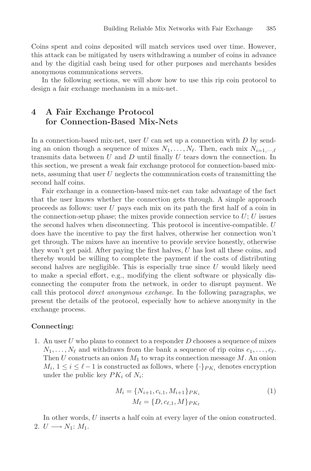Coins spent and coins deposited will match services used over time. However, this attack can be mitigated by users withdrawing a number of coins in advance and by the digitial cash being used for other purposes and merchants besides anonymous communications servers.

In the following sections, we will show how to use this rip coin protocol to design a fair exchange mechanism in a mix-net.

# <span id="page-7-0"></span>**4 A Fair Exchange Protocol for Connection-Based Mix-Nets**

In a connection-based mix-net, user  $U$  can set up a connection with  $D$  by sending an onion though a sequence of mixes  $N_1, \ldots, N_\ell$ . Then, each mix  $N_{i=1,\dots,\ell}$ transmits data between  $U$  and  $D$  until finally  $U$  tears down the connection. In this section, we present a weak fair exchange protocol for connection-based mixnets, assuming that user U neglects the communication costs of transmitting the second half coins.

Fair exchange in a connection-based mix-net can take advantage of the fact that the user knows whether the connection gets through. A simple approach proceeds as follows: user  $U$  pays each mix on its path the first half of a coin in the connection-setup phase; the mixes provide connection service to  $U: U$  issues the second halves when disconnecting. This protocol is incentive-compatible. U does have the incentive to pay the first halves, otherwise her connection won't get through. The mixes have an incentive to provide service honestly, otherwise they won't get paid. After paying the first halves,  $U$  has lost all these coins, and thereby would be willing to complete the payment if the costs of distributing second halves are negligible. This is especially true since  $U$  would likely need to make a special effort, e.g., modifying the client software or physically disconnecting the computer from the network, in order to disrupt payment. We call this protocol *direct anonymous exchange*. In the following paragraphs, we present the details of the protocol, especially how to achieve anonymity in the exchange process.

#### **Connecting:**

1. An user U who plans to connect to a responder  $D$  chooses a sequence of mixes  $N_1,\ldots,N_\ell$  and withdraws from the bank a sequence of rip coins  $c_1,\ldots,c_\ell$ . Then  $U$  constructs an onion  $M_1$  to wrap its connection message  $M$ . An onion  $M_i, 1 \leq i \leq \ell-1$  is constructed as follows, where  $\{\cdot\}_{PK_i}$  denotes encryption under the public key  $PK_i$  of  $N_i$ :

$$
M_i = \{N_{i+1}, c_{i,1}, M_{i+1}\}_{PK_i}
$$
  

$$
M_{\ell} = \{D, c_{\ell,1}, M\}_{PK_{\ell}}
$$
 (1)

In other words, U inserts a half coin at every layer of the onion constructed. 2.  $U \longrightarrow N_1: M_1$ .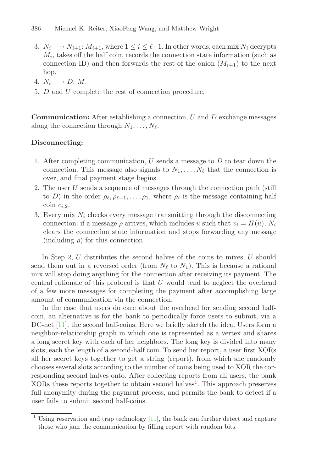- 3.  $N_i \longrightarrow N_{i+1}$ :  $M_{i+1}$ , where  $1 \leq i \leq \ell-1$ . In other words, each mix  $N_i$  decrypts  $M_i$ , takes off the half coin, records the connection state information (such as connection ID) and then forwards the rest of the onion  $(M_{i+1})$  to the next hop.
- 4.  $N_{\ell} \longrightarrow D: M$ .
- 5. D and U complete the rest of connection procedure.

**Communication:** After establishing a connection, U and D exchange messages along the connection through  $N_1, \ldots, N_\ell$ .

#### **Disconnecting:**

- 1. After completing communication,  $U$  sends a message to  $D$  to tear down the connection. This message also signals to  $N_1, \ldots, N_\ell$  that the connection is over, and final payment stage begins.
- 2. The user U sends a sequence of messages through the connection path (still to D) in the order  $\rho_{\ell}, \rho_{\ell-1},\ldots,\rho_1$ , where  $\rho_i$  is the message containing half coin  $c_{i,2}$ .
- 3. Every mix  $N_i$  checks every message transmitting through the disconnecting connection: if a message  $\rho$  arrives, which includes u such that  $v_i = H(u)$ ,  $N_i$ clears the connection state information and stops forwarding any message (including  $\rho$ ) for this connection.

In Step 2, U distributes the second halves of the coins to mixes. U should send them out in a reversed order (from  $N_{\ell}$  to  $N_1$ ). This is because a rational mix will stop doing anything for the connection after receiving its payment. The central rationale of this protocol is that  $U$  would tend to neglect the overhead of a few more messages for completing the payment after accomplishing large amount of communication via the connection.

In the case that users do care about the overhead for sending second halfcoin, an alternative is for the bank to periodically force users to submit, via a DC-net [\[11\]](#page-13-10), the second half-coins. Here we briefly sketch the idea. Users form a neighbor-relationship graph in which one is represented as a vertex and shares a long secret key with each of her neighbors. The long key is divided into many slots, each the length of a second-half coin. To send her report, a user first XORs all her secret keys together to get a string (report), from which she randomly chooses several slots according to the number of coins being used to XOR the corresponding second halves onto. After collecting reports from all users, the bank  $XORs$  these reports together to obtain second halves<sup>[1](#page-8-0)</sup>. This approach preserves full anonymity during the payment process, and permits the bank to detect if a user fails to submit second half-coins.

<span id="page-8-0"></span> $^{\rm 1}$  Using reservation and trap technology [\[11](#page-13-10)], the bank can further detect and capture those who jam the communication by filling report with random bits.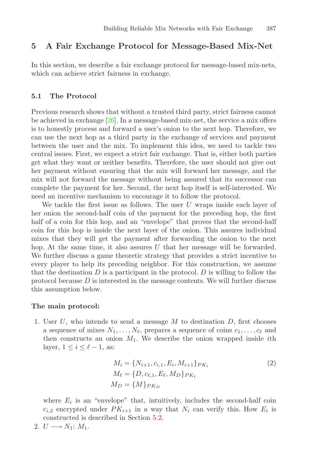### <span id="page-9-0"></span>**5 A Fair Exchange Protocol for Message-Based Mix-Net**

In this section, we describe a fair exchange protocol for message-based mix-nets, which can achieve strict fairness in exchange.

#### <span id="page-9-1"></span>**5.1 The Protocol**

Previous research shows that without a trusted third party, strict fairness cannot be achieved in exchange [\[26\]](#page-14-10). In a message-based mix-net, the service a mix offers is to honestly process and forward a user's onion to the next hop. Therefore, we can use the next hop as a third party in the exchange of services and payment between the user and the mix. To implement this idea, we need to tackle two central issues. First, we expect a strict fair exchange. That is, either both parties get what they want or neither benefits. Therefore, the user should not give out her payment without ensuring that the mix will forward her message, and the mix will not forward the message without being assured that its successor can complete the payment for her. Second, the next hop itself is self-interested. We need an incentive mechanism to encourage it to follow the protocol.

We tackle the first issue as follows. The user  $U$  wraps inside each layer of her onion the second-half coin of the payment for the preceding hop, the first half of a coin for this hop, and an "envelope" that proves that the second-half coin for this hop is inside the next layer of the onion. This assures individual mixes that they will get the payment after forwarding the onion to the next hop. At the same time, it also assures  $U$  that her message will be forwarded. We further discuss a game theoretic strategy that provides a strict incentive to every player to help its preceding neighbor. For this construction, we assume that the destination  $D$  is a participant in the protocol.  $D$  is willing to follow the protocol because  $D$  is interested in the message contents. We will further discuss this assumption below.

#### **The main protocol:**

1. User  $U$ , who intends to send a message  $M$  to destination  $D$ , first chooses a sequence of mixes  $N_1, \ldots, N_\ell$ , prepares a sequence of coins  $c_1, \ldots, c_\ell$  and then constructs an onion  $M_1$ . We describe the onion wrapped inside *i*th layer,  $1 \leq i \leq \ell - 1$ , as:

$$
M_i = \{N_{i+1}, c_{i,1}, E_i, M_{i+1}\}_{PK_i}
$$
  
\n
$$
M_{\ell} = \{D, c_{\ell,1}, E_{\ell}, M_D\}_{PK_{\ell}}
$$
  
\n
$$
M_D = \{M\}_{PK_D}
$$
\n(2)

where  $E_i$  is an "envelope" that, intuitively, includes the second-half coin  $c_{i,2}$  encrypted under  $PK_{i+1}$  in a way that  $N_i$  can verify this. How  $E_i$  is constructed is described in Section [5.2.](#page-11-0)

2. 
$$
U \longrightarrow N_1
$$
:  $M_1$ .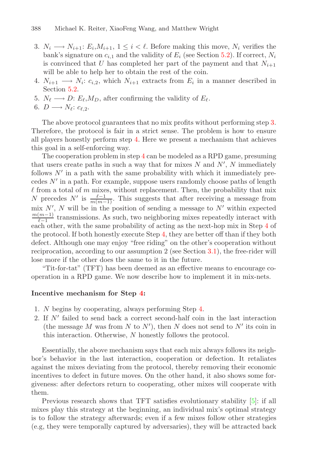- <span id="page-10-0"></span>3.  $N_i \longrightarrow N_{i+1}$ :  $E_i, M_{i+1}, 1 \leq i \leq \ell$ . Before making this move,  $N_i$  verifies the bank's signature on  $c_{i,1}$  and the validity of  $E_i$  (see Section [5.2\)](#page-11-0). If correct,  $N_i$ is convinced that U has completed her part of the payment and that  $N_{i+1}$ will be able to help her to obtain the rest of the coin.
- <span id="page-10-1"></span>4.  $N_{i+1} \longrightarrow N_i$ :  $c_{i,2}$ , which  $N_{i+1}$  extracts from  $E_i$  in a manner described in Section [5.2.](#page-11-0)
- <span id="page-10-2"></span>5.  $N_{\ell} \longrightarrow D: E_{\ell}, M_D$ , after confirming the validity of  $E_{\ell}$ .
- 6.  $D \longrightarrow N_{\ell}: c_{\ell,2}.$

The above protocol guarantees that no mix profits without performing step [3.](#page-10-0) Therefore, the protocol is fair in a strict sense. The problem is how to ensure all players honestly perform step [4.](#page-10-1) Here we present a mechanism that achieves this goal in a self-enforcing way.

The cooperation problem in step [4](#page-10-1) can be modeled as a RPD game, presuming that users create paths in such a way that for mixes N and N', N immediately<br>follows  $N'$  in a path with the same probability with which it immediately prefollows  $N'$  in a path with the same probability with which it immediately pre-<br>cedes  $N'$  in a path. For example, suppose users randomly choose paths of length cedes  $N'$  in a path. For example, suppose users randomly choose paths of length  $\ell$  from a total of m mixes without replacement. Then, the probability that mix  $\ell$  from a total of m mixes, without replacement. Then, the probability that mix N precedes N' is  $\frac{\ell-1}{m(m-1)}$ . This suggests that after receiving a message from mix N', N will be in the position of sending a message to N' within expected  $\frac{m(m-1)}{m(m-1)}$  transmissions. As such two pointboring mixes reportedly interest with  $\frac{m(m-1)}{e-1}$  transmissions. As such, two neighboring mixes repeatedly interact with  $e$  and  $\alpha$  of  $\alpha$  of  $\alpha$  of  $\alpha$  of  $\alpha$  of  $\alpha$  of  $\alpha$  of  $\alpha$  of  $\alpha$  of  $\alpha$  of  $\alpha$  of  $\alpha$  of  $\alpha$  of  $\alpha$  of  $\alpha$  of  $\alpha$  o each other, with the same probability of acting as the next-hop mix in Step [4](#page-10-1) of the protocol. If both honestly execute Step [4,](#page-10-1) they are better off than if they both defect. Although one may enjoy "free riding" on the other's cooperation without reciprocation, according to our assumption 2 (see Section [3.1\)](#page-4-1), the free-rider will lose more if the other does the same to it in the future.

"Tit-for-tat" (TFT) has been deemed as an effective means to encourage cooperation in a RPD game. We now describe how to implement it in mix-nets.

#### **Incentive mechanism for Step [4:](#page-10-1)**

- 1. N begins by cooperating, always performing Step [4.](#page-10-1)
- 2. If N' failed to send back a correct second-half coin in the last interaction (the message M was from N to  $N'$ ) then N does not send to  $N'$  its coin in (the message M was from N to N'), then N does not send to N' its coin in<br>this interaction. Otherwise N honestly follows the protocol this interaction. Otherwise, N honestly follows the protocol.

Essentially, the above mechanism says that each mix always follows its neighbor's behavior in the last interaction, cooperation or defection. It retaliates against the mixes deviating from the protocol, thereby removing their economic incentives to defect in future moves. On the other hand, it also shows some forgiveness: after defectors return to cooperating, other mixes will cooperate with them.

Previous research shows that TFT satisfies evolutionary stability [\[5\]](#page-13-7): if all mixes play this strategy at the beginning, an individual mix's optimal strategy is to follow the strategy afterwards; even if a few mixes follow other strategies (e.g, they were temporally captured by adversaries), they will be attracted back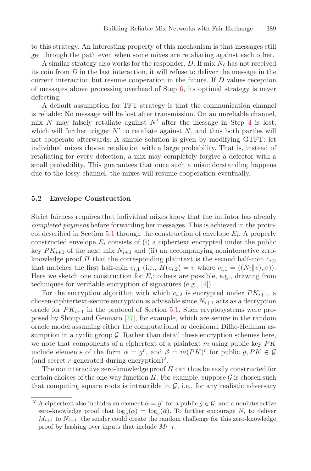to this strategy. An interesting property of this mechanism is that messages still get through the path even when some mixes are retaliating against each other.

A similar strategy also works for the responder, D. If mix  $N_{\ell}$  has not received its coin from D in the last interaction, it will refuse to deliver the message in the current interaction but resume cooperation in the future. If D values reception of messages above processing overhead of Step  $6$ , its optimal strategy is never defecting.

A default assumption for TFT strategy is that the communication channel is reliable: No message will be lost after transmission. On an unreliable channel, mix N may falsely retaliate against N' after the message in Step [4](#page-10-1) is lost,<br>which will further trigger  $N'$  to retaliate against N and thus both parties will which will further trigger  $N'$  to retaliate against  $N$ , and thus both parties will<br>not cooperate afterwards. A simple solution is given by modifying CTFT, let not cooperate afterwards. A simple solution is given by modifying GTFT: let individual mixes choose retaliation with a large probability. That is, instead of retaliating for every defection, a mix may completely forgive a defector with a small probability. This guarantees that once such a misunderstanding happens due to the lossy channel, the mixes will resume cooperation eventually.

#### <span id="page-11-0"></span>**5.2 Envelope Construction**

Strict fairness requires that individual mixes know that the initiator has already *completed payment* before forwarding her messages. This is achieved in the proto-col described in Section [5.1](#page-9-1) through the construction of envelope  $E_i$ . A properly constructed envelope  $E_i$  consists of (i) a ciphertext encrypted under the public key  $PK_{i+1}$  of the next mix  $N_{i+1}$  and (ii) an accompanying noninteractive zeroknowledge proof  $\Pi$  that the corresponding plaintext is the second half-coin  $c_{i,2}$ that matches the first half-coin  $c_{i,1}$  (i.e.,  $H(c_{i,2}) = v$  where  $c_{i,1} = ((N_i||v), \sigma)$ ). Here we sketch one construction for  $E_i$ ; others are possible, e.g., drawing from techniques for verifiable encryption of signatures (e.g., [\[4\]](#page-13-11)).

For the encryption algorithm with which  $c_{i,2}$  is encrypted under  $PK_{i+1}$ , a chosen-ciphtertext-secure encryption is advisable since  $N_{i+1}$  acts as a decryption oracle for  $PK_{i+1}$  in the protocol of Section [5.1.](#page-9-1) Such cryptosystems were proposed by Shoup and Gennaro [\[27](#page-14-17)], for example, which are secure in the random oracle model assuming either the computational or decisional Diffie-Hellman assumption in a cyclic group  $\mathcal G$ . Rather than detail these encryption schemes here, we note that components of a ciphertext of a plaintext m using public key  $PK$ include elements of the form  $\alpha = g^r$ , and  $\beta = m(PK)^r$  for public  $g, PK \in \mathcal{G}$ (and secret r generated during encryption)<sup>[2](#page-11-1)</sup>.

The noninteractive zero-knowledge proof  $\Pi$  can thus be easily constructed for certain choices of the one-way function  $H$ . For example, suppose  $\mathcal G$  is chosen such that computing square roots is intractible in  $\mathcal{G}$ , i.e., for any realistic adversary

<span id="page-11-1"></span><sup>&</sup>lt;sup>2</sup> A ciphertext also includes an element  $\bar{\alpha} = \bar{g}^r$  for a public  $\bar{g} \in \mathcal{G}$ , and a noninteractive zero-knowledge proof that  $\log_g(a) = \log_{\bar{g}}(\bar{a})$ . To further encourage  $N_i$  to deliver  $M_{i,i}$ , the sender could create the random challenge for this zero knowledge  $M_{i+1}$  to  $N_{i+1}$ , the sender could create the random challenge for this zero-knowledge proof by hashing over inputs that include  $M_{i+1}$ .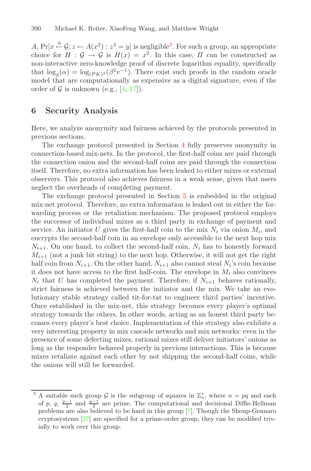A,  $Pr[x \stackrel{R}{\leftarrow} G; z \leftarrow A(x^2) : z^2 = y]$  is negligible<sup>[3](#page-12-1)</sup>. For such a group, an appropriate choice for  $H : G \rightarrow G$  is  $H(x) = x^2$ . In this case,  $H$  can be constructed as choice for  $H : \mathcal{G} \to \mathcal{G}$  is  $H(x) = x^2$ . In this case,  $\Pi$  can be constructed as non-interactive zero-knowledge proof of discrete logarithm equality, specifically that  $\log_g(\alpha) = \log_{(PK)^2}(\beta^2 v^{-1})$ . There exist such proofs in the random oracle model that are computationally as expensive as a digital signature, even if the model that are computationally as expensive as a digital signature, even if the order of  $\mathcal G$  is unknown (e.g., [\[4,](#page-13-11) [17\]](#page-14-18)).

## <span id="page-12-0"></span>**6 Security Analysis**

Here, we analyze anonymity and fairness achieved by the protocols presented in previous sections.

The exchange protocol presented in Section [4](#page-7-0) fully preserves anonymity in connection-based mix-nets. In the protocol, the first-half coins are paid through the connection onion and the second-half coins are paid through the connection itself. Therefore, no extra information has been leaked to either mixes or external observers. This protocol also achieves fairness in a weak sense, given that users neglect the overheads of completing payment.

The exchange protocol presented in Section [5](#page-9-0) is embedded in the original mix-net protocol. Therefore, no extra information is leaked out in either the forwarding process or the retaliation mechanism. The proposed protocol employs the successor of individual mixes as a third party in exchange of payment and service. An initiator U gives the first-half coin to the mix  $N_i$  via onion  $M_i$ , and encrypts the second-half coin in an envelope only accessible to the next hop mix  $N_{i+1}$ . On one hand, to collect the second-half coin,  $N_i$  has to honestly forward  $M_{i+1}$  (not a junk bit string) to the next hop. Otherwise, it will not get the right half coin from  $N_{i+1}$ . On the other hand,  $N_{i+1}$  also cannot steal  $N_i$ 's coin because it does not have access to the first half-coin. The envelope in  $M_i$  also convinces  $N_i$  that U has completed the payment. Therefore, if  $N_{i+1}$  behaves rationally, strict fairness is achieved between the initiator and the mix. We take an evolutionary stable strategy called tit-for-tat to engineer third parties' incentive. Once established in the mix-net, this strategy becomes every player's optimal strategy towards the others. In other words, acting as an honest third party becomes every player's best choice. Implementation of this strategy also exhibits a very interesting property in mix cascade networks and mix networks: even in the presence of some defecting mixes, rational mixes still deliver initiators' onions as long as the responder behaved properly in previous interactions. This is because mixes retaliate against each other by not shipping the second-half coins, while the onions will still be forwarded.

<span id="page-12-1"></span><sup>&</sup>lt;sup>3</sup> A suitable such group G is the subgroup of squares in  $\mathbb{Z}_n^*$ , where  $n = pq$  and each of  $n, q, \frac{p-1}{q-1}$  and  $\frac{q-1}{q-1}$  are prime. The computational and decisional Difficial Hellman of p, q,  $\frac{p-1}{2}$  and  $\frac{q-1}{2}$  are prime. The computational and decisional Diffie-Hellman problems are also believed to be hard in this group [\[7](#page-13-12)]. Though the Shoup-Gennaro cryptosystems [\[27\]](#page-14-17) are specified for a prime-order group, they can be modified trivially to work over this group.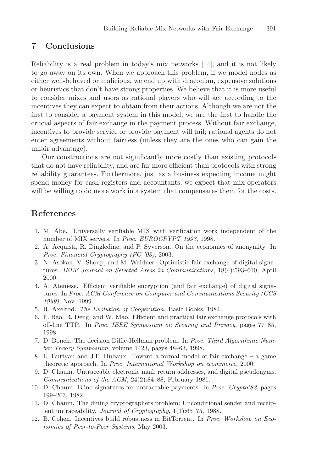### <span id="page-13-3"></span>**7 Conclusions**

Reliability is a real problem in today's mix networks  $[14]$ , and it is not likely to go away on its own. When we approach this problem, if we model nodes as either well-behaved or malicious, we end up with draconian, expensive solutions or heuristics that don't have strong properties. We believe that it is more useful to consider mixes and users as rational players who will act according to the incentives they can expect to obtain from their actions. Although we are not the first to consider a payment system in this model, we are the first to handle the crucial aspects of fair exchange in the payment process. Without fair exchange, incentives to provide service or provide payment will fail; rational agents do not enter agreements without fairness (unless they are the ones who can gain the unfair advantage).

Our constructions are not significantly more costly than existing protocols that do not have reliability, and are far more efficient than protocols with strong reliability guarantees. Furthermore, just as a business expecting income might spend money for cash registers and accountants, we expect that mix operators will be willing to do more work in a system that compensates them for the costs.

# <span id="page-13-1"></span>**References**

- 1. M. Abe. Universally verifiable MIX with verification work independent of the number of MIX servers. In *Proc. EUROCRYPT 1998*, 1998.
- <span id="page-13-2"></span>2. A. Acquisti, R. Dingledine, and P. Syverson. On the economics of anonymity. In *Proc. Financial Cryptography (FC '03)*, 2003.
- <span id="page-13-4"></span>3. N. Asokan, V. Shoup, and M. Waidner. Optimistic fair exchange of digital signatures. *IEEE Journal on Selected Areas in Communications*, 18(4):593–610, April 2000.
- <span id="page-13-11"></span>4. A. Ateniese. Efficient verifiable encryption (and fair exchange) of digital signatures. In *Proc. ACM Conference on Computer and Communications Security (CCS 1999)*, Nov. 1999.
- <span id="page-13-7"></span>5. R. Axelrod. *The Evolution of Cooperation*. Basic Books, 1984.
- <span id="page-13-5"></span>6. F. Bao, R. Deng, and W. Mao. Efficient and practical fair exchange protocols with off-line TTP. In *Proc. IEEE Symposium on Security and Privacy*, pages 77–85, 1998.
- <span id="page-13-12"></span>7. D. Boneh. The decision Diffie-Hellman problem. In *Proc. Third Algorithmic Number Theory Symposium*, volume 1423, pages 48–63, 1998.
- <span id="page-13-6"></span>8. L. Buttyan and J.P. Hubaux. Toward a formal model of fair exchange – a game theoretic approach. In *Proc. International Workshop on ecommerce*, 2000.
- 9. D. Chaum. Untraceable electronic mail, return addresses, and digital pseudonyms. *Communications of the ACM*, 24(2):84–88, February 1981.
- <span id="page-13-9"></span><span id="page-13-0"></span>10. D. Chaum. Blind signatures for untraceable payments. In *Proc. Crypto'82*, pages 199–203, 1982.
- <span id="page-13-10"></span>11. D. Chaum. The dining cryptographers problem: Unconditional sender and receipient untraceability. *Journal of Cryptography*, 1(1):65–75, 1988.
- <span id="page-13-8"></span>12. B. Cohen. Incentives build robustness in BitTorrent. In *Proc. Workshop on Economics of Peer-to-Peer Systems*, May 2003.